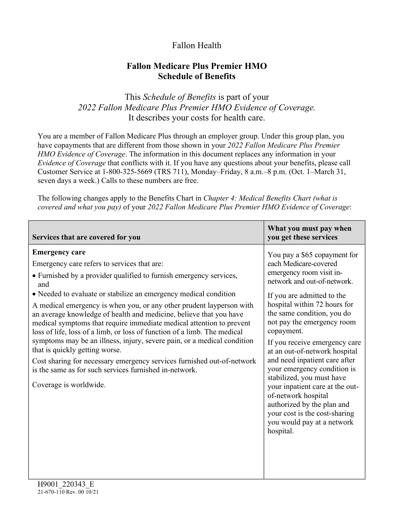# Fallon Health

## **Fallon Medicare Plus Premier HMO Schedule of Benefits**

This *Schedule of Benefits* is part of your *2022 Fallon Medicare Plus Premier HMO Evidence of Coverage.*  It describes your costs for health care.

You are a member of Fallon Medicare Plus through an employer group. Under this group plan, you have copayments that are different from those shown in your *2022 Fallon Medicare Plus Premier HMO Evidence of Coverage*. The information in this document replaces any information in your *Evidence of Coverage* that conflicts with it. If you have any questions about your benefits, please call Customer Service at 1-800-325-5669 (TRS 711), Monday–Friday, 8 a.m.–8 p.m. (Oct. 1–March 31, seven days a week.) Calls to these numbers are free.

The following changes apply to the Benefits Chart in *Chapter 4: Medical Benefits Chart (what is covered and what you pay)* of your *2022 Fallon Medicare Plus Premier HMO Evidence of Coverage*:

| Services that are covered for you                                                                                                                                                                                                                                                                                                                                                                                                                                                                                                                                                                                                                                                                                                                                                                  | What you must pay when<br>you get these services                                                                                                                                                                                                                                                                                                                                                                                                                                                                                                                                            |
|----------------------------------------------------------------------------------------------------------------------------------------------------------------------------------------------------------------------------------------------------------------------------------------------------------------------------------------------------------------------------------------------------------------------------------------------------------------------------------------------------------------------------------------------------------------------------------------------------------------------------------------------------------------------------------------------------------------------------------------------------------------------------------------------------|---------------------------------------------------------------------------------------------------------------------------------------------------------------------------------------------------------------------------------------------------------------------------------------------------------------------------------------------------------------------------------------------------------------------------------------------------------------------------------------------------------------------------------------------------------------------------------------------|
| <b>Emergency care</b><br>Emergency care refers to services that are:<br>• Furnished by a provider qualified to furnish emergency services,<br>and<br>• Needed to evaluate or stabilize an emergency medical condition<br>A medical emergency is when you, or any other prudent layperson with<br>an average knowledge of health and medicine, believe that you have<br>medical symptoms that require immediate medical attention to prevent<br>loss of life, loss of a limb, or loss of function of a limb. The medical<br>symptoms may be an illness, injury, severe pain, or a medical condition<br>that is quickly getting worse.<br>Cost sharing for necessary emergency services furnished out-of-network<br>is the same as for such services furnished in-network.<br>Coverage is worldwide. | You pay a \$65 copayment for<br>each Medicare-covered<br>emergency room visit in-<br>network and out-of-network.<br>If you are admitted to the<br>hospital within 72 hours for<br>the same condition, you do<br>not pay the emergency room<br>copayment.<br>If you receive emergency care<br>at an out-of-network hospital<br>and need inpatient care after<br>your emergency condition is<br>stabilized, you must have<br>your inpatient care at the out-<br>of-network hospital<br>authorized by the plan and<br>your cost is the cost-sharing<br>you would pay at a network<br>hospital. |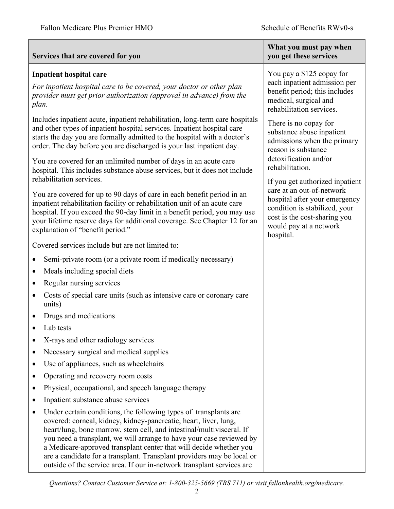### **Services that are covered for you**

#### **Inpatient hospital care**

*For inpatient hospital care to be covered, your doctor or other plan provider must get prior authorization (approval in advance) from the plan.* 

Includes inpatient acute, inpatient rehabilitation, long-term care hospitals and other types of inpatient hospital services. Inpatient hospital care starts the day you are formally admitted to the hospital with a doctor's order. The day before you are discharged is your last inpatient day.

You are covered for an unlimited number of days in an acute care hospital. This includes substance abuse services, but it does not include rehabilitation services.

You are covered for up to 90 days of care in each benefit period in an inpatient rehabilitation facility or rehabilitation unit of an acute care hospital. If you exceed the 90-day limit in a benefit period, you may use your lifetime reserve days for additional coverage. See Chapter 12 for an explanation of "benefit period."

Covered services include but are not limited to:

- Semi-private room (or a private room if medically necessary)
- Meals including special diets
- Regular nursing services
- Costs of special care units (such as intensive care or coronary care units)
- Drugs and medications
- Lab tests
- X-rays and other radiology services
- Necessary surgical and medical supplies
- Use of appliances, such as wheelchairs
- Operating and recovery room costs
- Physical, occupational, and speech language therapy
- Inpatient substance abuse services
- Under certain conditions, the following types of transplants are covered: corneal, kidney, kidney-pancreatic, heart, liver, lung, heart/lung, bone marrow, stem cell, and intestinal/multivisceral. If you need a transplant, we will arrange to have your case reviewed by a Medicare-approved transplant center that will decide whether you are a candidate for a transplant. Transplant providers may be local or outside of the service area. If our in-network transplant services are

#### **What you must pay when you get these services**

You pay a \$125 copay for each inpatient admission per benefit period; this includes medical, surgical and rehabilitation services.

There is no copay for substance abuse inpatient admissions when the primary reason is substance detoxification and/or rehabilitation.

If you get authorized inpatient care at an out-of-network hospital after your emergency condition is stabilized, your cost is the cost-sharing you would pay at a network hospital.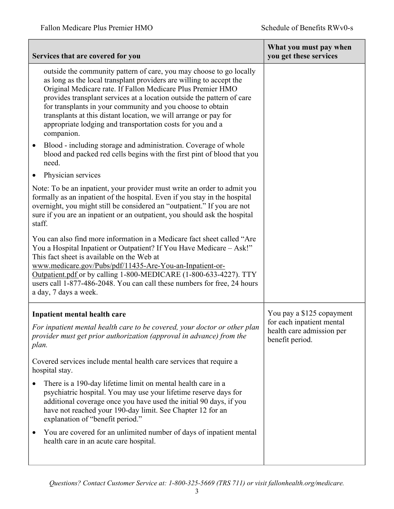|           | Services that are covered for you                                                                                                                                                                                                                                                                                                                                                                                                                                                                 | What you must pay when<br>you get these services                                                       |
|-----------|---------------------------------------------------------------------------------------------------------------------------------------------------------------------------------------------------------------------------------------------------------------------------------------------------------------------------------------------------------------------------------------------------------------------------------------------------------------------------------------------------|--------------------------------------------------------------------------------------------------------|
|           | outside the community pattern of care, you may choose to go locally<br>as long as the local transplant providers are willing to accept the<br>Original Medicare rate. If Fallon Medicare Plus Premier HMO<br>provides transplant services at a location outside the pattern of care<br>for transplants in your community and you choose to obtain<br>transplants at this distant location, we will arrange or pay for<br>appropriate lodging and transportation costs for you and a<br>companion. |                                                                                                        |
| $\bullet$ | Blood - including storage and administration. Coverage of whole<br>blood and packed red cells begins with the first pint of blood that you<br>need.                                                                                                                                                                                                                                                                                                                                               |                                                                                                        |
| $\bullet$ | Physician services                                                                                                                                                                                                                                                                                                                                                                                                                                                                                |                                                                                                        |
| staff.    | Note: To be an inpatient, your provider must write an order to admit you<br>formally as an inpatient of the hospital. Even if you stay in the hospital<br>overnight, you might still be considered an "outpatient." If you are not<br>sure if you are an inpatient or an outpatient, you should ask the hospital                                                                                                                                                                                  |                                                                                                        |
|           | You can also find more information in a Medicare fact sheet called "Are<br>You a Hospital Inpatient or Outpatient? If You Have Medicare - Ask!"<br>This fact sheet is available on the Web at<br>www.medicare.gov/Pubs/pdf/11435-Are-You-an-Inpatient-or-<br>Outpatient.pdf or by calling 1-800-MEDICARE (1-800-633-4227). TTY<br>users call 1-877-486-2048. You can call these numbers for free, 24 hours<br>a day, 7 days a week.                                                               |                                                                                                        |
| plan.     | Inpatient mental health care<br>For inpatient mental health care to be covered, your doctor or other plan<br>provider must get prior authorization (approval in advance) from the                                                                                                                                                                                                                                                                                                                 | You pay a \$125 copayment<br>for each inpatient mental<br>health care admission per<br>benefit period. |
|           | Covered services include mental health care services that require a<br>hospital stay.                                                                                                                                                                                                                                                                                                                                                                                                             |                                                                                                        |
|           | There is a 190-day lifetime limit on mental health care in a<br>psychiatric hospital. You may use your lifetime reserve days for<br>additional coverage once you have used the initial 90 days, if you<br>have not reached your 190-day limit. See Chapter 12 for an<br>explanation of "benefit period."                                                                                                                                                                                          |                                                                                                        |
|           | You are covered for an unlimited number of days of inpatient mental<br>health care in an acute care hospital.                                                                                                                                                                                                                                                                                                                                                                                     |                                                                                                        |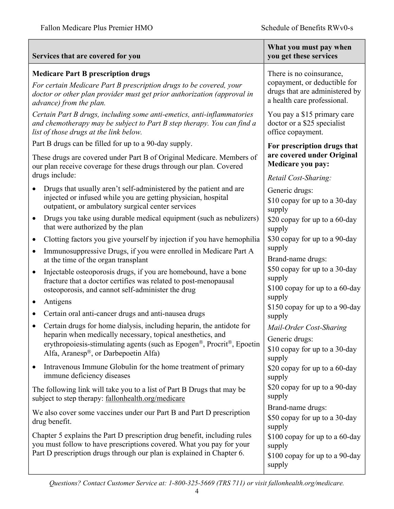| Services that are covered for you                                                                                                                                                                                         | What you must pay when<br>you get these services                                                                          |
|---------------------------------------------------------------------------------------------------------------------------------------------------------------------------------------------------------------------------|---------------------------------------------------------------------------------------------------------------------------|
| <b>Medicare Part B prescription drugs</b><br>For certain Medicare Part B prescription drugs to be covered, your<br>doctor or other plan provider must get prior authorization (approval in<br>advance) from the plan.     | There is no coinsurance,<br>copayment, or deductible for<br>drugs that are administered by<br>a health care professional. |
| Certain Part B drugs, including some anti-emetics, anti-inflammatories<br>and chemotherapy may be subject to Part B step therapy. You can find a<br>list of those drugs at the link below.                                | You pay a \$15 primary care<br>doctor or a \$25 specialist<br>office copayment.                                           |
| Part B drugs can be filled for up to a 90-day supply.                                                                                                                                                                     | For prescription drugs that                                                                                               |
| These drugs are covered under Part B of Original Medicare. Members of<br>our plan receive coverage for these drugs through our plan. Covered<br>drugs include:                                                            | are covered under Original<br><b>Medicare you pay:</b>                                                                    |
| Drugs that usually aren't self-administered by the patient and are<br>injected or infused while you are getting physician, hospital<br>outpatient, or ambulatory surgical center services                                 | Retail Cost-Sharing:<br>Generic drugs:<br>\$10 copay for up to a 30-day<br>supply                                         |
| Drugs you take using durable medical equipment (such as nebulizers)<br>$\bullet$<br>that were authorized by the plan                                                                                                      | \$20 copay for up to a 60-day<br>supply                                                                                   |
| Clotting factors you give yourself by injection if you have hemophilia<br>$\bullet$                                                                                                                                       | \$30 copay for up to a 90-day                                                                                             |
| Immunosuppressive Drugs, if you were enrolled in Medicare Part A<br>$\bullet$<br>at the time of the organ transplant                                                                                                      | supply<br>Brand-name drugs:                                                                                               |
| Injectable osteoporosis drugs, if you are homebound, have a bone<br>$\bullet$<br>fracture that a doctor certifies was related to post-menopausal<br>osteoporosis, and cannot self-administer the drug                     | \$50 copay for up to a 30-day<br>supply<br>\$100 copay for up to a 60-day                                                 |
| Antigens<br>$\bullet$                                                                                                                                                                                                     | supply                                                                                                                    |
| Certain oral anti-cancer drugs and anti-nausea drugs                                                                                                                                                                      | \$150 copay for up to a 90-day<br>supply                                                                                  |
| Certain drugs for home dialysis, including heparin, the antidote for                                                                                                                                                      | Mail-Order Cost-Sharing                                                                                                   |
| heparin when medically necessary, topical anesthetics, and<br>erythropoiesis-stimulating agents (such as Epogen®, Procrit®, Epoetin<br>Alfa, Aranesp®, or Darbepoetin Alfa)                                               | Generic drugs:<br>\$10 copay for up to a 30-day<br>supply                                                                 |
| Intravenous Immune Globulin for the home treatment of primary<br>immune deficiency diseases                                                                                                                               | \$20 copay for up to a 60-day<br>supply                                                                                   |
| The following link will take you to a list of Part B Drugs that may be<br>subject to step therapy: fallonhealth.org/medicare                                                                                              | \$20 copay for up to a 90-day<br>supply                                                                                   |
| We also cover some vaccines under our Part B and Part D prescription<br>drug benefit.                                                                                                                                     | Brand-name drugs:<br>\$50 copay for up to a 30-day<br>supply                                                              |
| Chapter 5 explains the Part D prescription drug benefit, including rules<br>you must follow to have prescriptions covered. What you pay for your<br>Part D prescription drugs through our plan is explained in Chapter 6. | \$100 copay for up to a 60-day<br>supply<br>\$100 copay for up to a 90-day<br>supply                                      |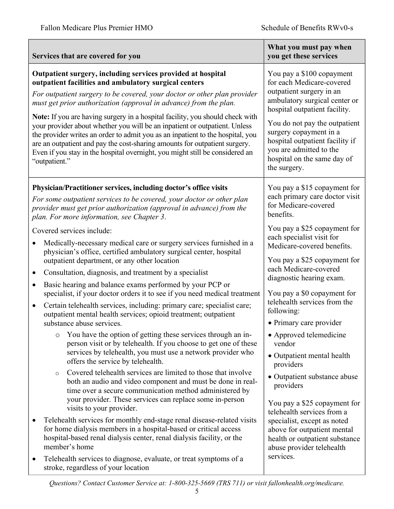|                                                                                                                                                                                                                                                                  | Services that are covered for you                                                                                                                                                                                                                                                                                                                                                                                                                                                                                                                                                                                                                                                                     | What you must pay when<br>you get these services                                                                                                                                                                                                                                                                             |  |
|------------------------------------------------------------------------------------------------------------------------------------------------------------------------------------------------------------------------------------------------------------------|-------------------------------------------------------------------------------------------------------------------------------------------------------------------------------------------------------------------------------------------------------------------------------------------------------------------------------------------------------------------------------------------------------------------------------------------------------------------------------------------------------------------------------------------------------------------------------------------------------------------------------------------------------------------------------------------------------|------------------------------------------------------------------------------------------------------------------------------------------------------------------------------------------------------------------------------------------------------------------------------------------------------------------------------|--|
|                                                                                                                                                                                                                                                                  | Outpatient surgery, including services provided at hospital<br>outpatient facilities and ambulatory surgical centers<br>For outpatient surgery to be covered, your doctor or other plan provider<br>must get prior authorization (approval in advance) from the plan.<br>Note: If you are having surgery in a hospital facility, you should check with<br>your provider about whether you will be an inpatient or outpatient. Unless<br>the provider writes an order to admit you as an inpatient to the hospital, you<br>are an outpatient and pay the cost-sharing amounts for outpatient surgery.<br>Even if you stay in the hospital overnight, you might still be considered an<br>"outpatient." | You pay a \$100 copayment<br>for each Medicare-covered<br>outpatient surgery in an<br>ambulatory surgical center or<br>hospital outpatient facility.<br>You do not pay the outpatient<br>surgery copayment in a<br>hospital outpatient facility if<br>you are admitted to the<br>hospital on the same day of<br>the surgery. |  |
| Physician/Practitioner services, including doctor's office visits<br>For some outpatient services to be covered, your doctor or other plan<br>provider must get prior authorization (approval in advance) from the<br>plan. For more information, see Chapter 3. |                                                                                                                                                                                                                                                                                                                                                                                                                                                                                                                                                                                                                                                                                                       | You pay a \$15 copayment for<br>each primary care doctor visit<br>for Medicare-covered<br>benefits.                                                                                                                                                                                                                          |  |
|                                                                                                                                                                                                                                                                  | Covered services include:<br>Medically-necessary medical care or surgery services furnished in a<br>physician's office, certified ambulatory surgical center, hospital                                                                                                                                                                                                                                                                                                                                                                                                                                                                                                                                | You pay a \$25 copayment for<br>each specialist visit for<br>Medicare-covered benefits.                                                                                                                                                                                                                                      |  |
| $\bullet$<br>$\bullet$                                                                                                                                                                                                                                           | outpatient department, or any other location<br>Consultation, diagnosis, and treatment by a specialist<br>Basic hearing and balance exams performed by your PCP or                                                                                                                                                                                                                                                                                                                                                                                                                                                                                                                                    | You pay a \$25 copayment for<br>each Medicare-covered<br>diagnostic hearing exam.                                                                                                                                                                                                                                            |  |
| $\bullet$                                                                                                                                                                                                                                                        | specialist, if your doctor orders it to see if you need medical treatment<br>Certain telehealth services, including: primary care; specialist care;<br>outpatient mental health services; opioid treatment; outpatient<br>substance abuse services.                                                                                                                                                                                                                                                                                                                                                                                                                                                   | You pay a \$0 copayment for<br>telehealth services from the<br>following:<br>• Primary care provider                                                                                                                                                                                                                         |  |
|                                                                                                                                                                                                                                                                  | You have the option of getting these services through an in-<br>$\circ$<br>person visit or by telehealth. If you choose to get one of these<br>services by telehealth, you must use a network provider who<br>offers the service by telehealth.                                                                                                                                                                                                                                                                                                                                                                                                                                                       | • Approved telemedicine<br>vendor<br>• Outpatient mental health<br>providers                                                                                                                                                                                                                                                 |  |
|                                                                                                                                                                                                                                                                  | Covered telehealth services are limited to those that involve<br>$\circ$<br>both an audio and video component and must be done in real-<br>time over a secure communication method administered by<br>your provider. These services can replace some in-person<br>visits to your provider.                                                                                                                                                                                                                                                                                                                                                                                                            | • Outpatient substance abuse<br>providers<br>You pay a \$25 copayment for<br>telehealth services from a                                                                                                                                                                                                                      |  |
| ٠                                                                                                                                                                                                                                                                | Telehealth services for monthly end-stage renal disease-related visits<br>for home dialysis members in a hospital-based or critical access<br>hospital-based renal dialysis center, renal dialysis facility, or the<br>member's home                                                                                                                                                                                                                                                                                                                                                                                                                                                                  | specialist, except as noted<br>above for outpatient mental<br>health or outpatient substance<br>abuse provider telehealth                                                                                                                                                                                                    |  |
| $\bullet$                                                                                                                                                                                                                                                        | Telehealth services to diagnose, evaluate, or treat symptoms of a<br>stroke, regardless of your location                                                                                                                                                                                                                                                                                                                                                                                                                                                                                                                                                                                              | services.                                                                                                                                                                                                                                                                                                                    |  |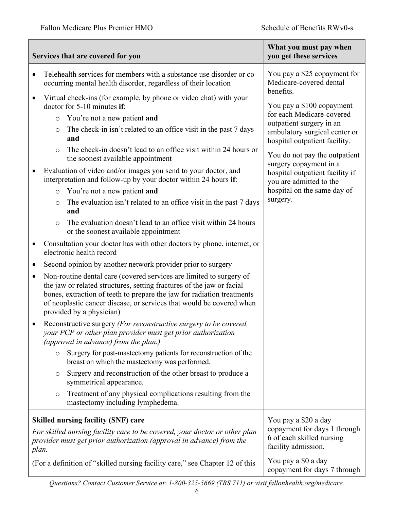|                                                                                                                                                                                                                                                                                                                                         |                                                                                                                                        | Services that are covered for you                                                                                                                                          | What you must pay when<br>you get these services                                           |  |
|-----------------------------------------------------------------------------------------------------------------------------------------------------------------------------------------------------------------------------------------------------------------------------------------------------------------------------------------|----------------------------------------------------------------------------------------------------------------------------------------|----------------------------------------------------------------------------------------------------------------------------------------------------------------------------|--------------------------------------------------------------------------------------------|--|
| $\bullet$                                                                                                                                                                                                                                                                                                                               | Telehealth services for members with a substance use disorder or co-<br>occurring mental health disorder, regardless of their location |                                                                                                                                                                            | You pay a \$25 copayment for<br>Medicare-covered dental<br>benefits.                       |  |
| $\bullet$                                                                                                                                                                                                                                                                                                                               | $\circ$                                                                                                                                | Virtual check-ins (for example, by phone or video chat) with your<br>doctor for 5-10 minutes if:<br>You're not a new patient and                                           | You pay a \$100 copayment<br>for each Medicare-covered                                     |  |
|                                                                                                                                                                                                                                                                                                                                         | $\circ$                                                                                                                                | The check-in isn't related to an office visit in the past 7 days<br>and                                                                                                    | outpatient surgery in an<br>ambulatory surgical center or<br>hospital outpatient facility. |  |
|                                                                                                                                                                                                                                                                                                                                         | $\circ$                                                                                                                                | The check-in doesn't lead to an office visit within 24 hours or<br>the soonest available appointment                                                                       | You do not pay the outpatient<br>surgery copayment in a                                    |  |
|                                                                                                                                                                                                                                                                                                                                         |                                                                                                                                        | Evaluation of video and/or images you send to your doctor, and<br>interpretation and follow-up by your doctor within 24 hours if:                                          | hospital outpatient facility if<br>you are admitted to the                                 |  |
|                                                                                                                                                                                                                                                                                                                                         | $\circ$                                                                                                                                | You're not a new patient and                                                                                                                                               | hospital on the same day of                                                                |  |
|                                                                                                                                                                                                                                                                                                                                         | $\circlearrowright$                                                                                                                    | The evaluation isn't related to an office visit in the past 7 days<br>and                                                                                                  | surgery.                                                                                   |  |
|                                                                                                                                                                                                                                                                                                                                         | $\circ$                                                                                                                                | The evaluation doesn't lead to an office visit within 24 hours<br>or the soonest available appointment                                                                     |                                                                                            |  |
|                                                                                                                                                                                                                                                                                                                                         |                                                                                                                                        | Consultation your doctor has with other doctors by phone, internet, or<br>electronic health record                                                                         |                                                                                            |  |
| ٠                                                                                                                                                                                                                                                                                                                                       |                                                                                                                                        | Second opinion by another network provider prior to surgery                                                                                                                |                                                                                            |  |
| Non-routine dental care (covered services are limited to surgery of<br>$\bullet$<br>the jaw or related structures, setting fractures of the jaw or facial<br>bones, extraction of teeth to prepare the jaw for radiation treatments<br>of neoplastic cancer disease, or services that would be covered when<br>provided by a physician) |                                                                                                                                        |                                                                                                                                                                            |                                                                                            |  |
|                                                                                                                                                                                                                                                                                                                                         |                                                                                                                                        | Reconstructive surgery (For reconstructive surgery to be covered,<br>your PCP or other plan provider must get prior authorization<br>(approval in advance) from the plan.) |                                                                                            |  |
|                                                                                                                                                                                                                                                                                                                                         | $\circ$                                                                                                                                | Surgery for post-mastectomy patients for reconstruction of the<br>breast on which the mastectomy was performed.                                                            |                                                                                            |  |
|                                                                                                                                                                                                                                                                                                                                         | O                                                                                                                                      | Surgery and reconstruction of the other breast to produce a<br>symmetrical appearance.                                                                                     |                                                                                            |  |
|                                                                                                                                                                                                                                                                                                                                         | $\circ$                                                                                                                                | Treatment of any physical complications resulting from the<br>mastectomy including lymphedema.                                                                             |                                                                                            |  |
|                                                                                                                                                                                                                                                                                                                                         |                                                                                                                                        | <b>Skilled nursing facility (SNF) care</b>                                                                                                                                 | You pay a \$20 a day                                                                       |  |
| For skilled nursing facility care to be covered, your doctor or other plan<br>provider must get prior authorization (approval in advance) from the<br>plan.                                                                                                                                                                             |                                                                                                                                        |                                                                                                                                                                            | copayment for days 1 through<br>6 of each skilled nursing<br>facility admission.           |  |
| (For a definition of "skilled nursing facility care," see Chapter 12 of this                                                                                                                                                                                                                                                            |                                                                                                                                        |                                                                                                                                                                            | You pay a \$0 a day<br>copayment for days 7 through                                        |  |

*Questions? Contact Customer Service at: 1-800-325-5669 (TRS 711) or visit fallonhealth.org/medicare.*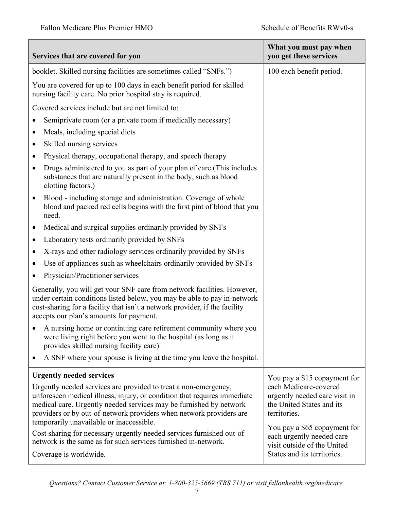| booklet. Skilled nursing facilities are sometimes called "SNFs.")<br>100 each benefit period.<br>You are covered for up to 100 days in each benefit period for skilled<br>nursing facility care. No prior hospital stay is required.<br>Covered services include but are not limited to:<br>Semiprivate room (or a private room if medically necessary)<br>Meals, including special diets<br>Skilled nursing services<br>Physical therapy, occupational therapy, and speech therapy<br>٠<br>Drugs administered to you as part of your plan of care (This includes<br>٠<br>substances that are naturally present in the body, such as blood<br>clotting factors.)<br>Blood - including storage and administration. Coverage of whole<br>$\bullet$<br>blood and packed red cells begins with the first pint of blood that you<br>need.<br>Medical and surgical supplies ordinarily provided by SNFs<br>Laboratory tests ordinarily provided by SNFs<br>٠<br>X-rays and other radiology services ordinarily provided by SNFs<br>Use of appliances such as wheelchairs ordinarily provided by SNFs<br>Physician/Practitioner services<br>Generally, you will get your SNF care from network facilities. However,<br>under certain conditions listed below, you may be able to pay in-network<br>cost-sharing for a facility that isn't a network provider, if the facility<br>accepts our plan's amounts for payment.<br>A nursing home or continuing care retirement community where you<br>were living right before you went to the hospital (as long as it<br>provides skilled nursing facility care).<br>A SNF where your spouse is living at the time you leave the hospital.<br>$\bullet$<br><b>Urgently needed services</b><br>You pay a \$15 copayment for<br>each Medicare-covered<br>Urgently needed services are provided to treat a non-emergency,<br>unforeseen medical illness, injury, or condition that requires immediate<br>urgently needed care visit in<br>medical care. Urgently needed services may be furnished by network<br>the United States and its<br>providers or by out-of-network providers when network providers are<br>territories.<br>temporarily unavailable or inaccessible.<br>You pay a \$65 copayment for<br>Cost sharing for necessary urgently needed services furnished out-of-<br>each urgently needed care<br>network is the same as for such services furnished in-network.<br>visit outside of the United | Services that are covered for you | What you must pay when<br>you get these services |
|------------------------------------------------------------------------------------------------------------------------------------------------------------------------------------------------------------------------------------------------------------------------------------------------------------------------------------------------------------------------------------------------------------------------------------------------------------------------------------------------------------------------------------------------------------------------------------------------------------------------------------------------------------------------------------------------------------------------------------------------------------------------------------------------------------------------------------------------------------------------------------------------------------------------------------------------------------------------------------------------------------------------------------------------------------------------------------------------------------------------------------------------------------------------------------------------------------------------------------------------------------------------------------------------------------------------------------------------------------------------------------------------------------------------------------------------------------------------------------------------------------------------------------------------------------------------------------------------------------------------------------------------------------------------------------------------------------------------------------------------------------------------------------------------------------------------------------------------------------------------------------------------------------------------------------------------------------------------------------------------------------------------------------------------------------------------------------------------------------------------------------------------------------------------------------------------------------------------------------------------------------------------------------------------------------------------------------------------------------------------------------------------------------------------------------------------------|-----------------------------------|--------------------------------------------------|
|                                                                                                                                                                                                                                                                                                                                                                                                                                                                                                                                                                                                                                                                                                                                                                                                                                                                                                                                                                                                                                                                                                                                                                                                                                                                                                                                                                                                                                                                                                                                                                                                                                                                                                                                                                                                                                                                                                                                                                                                                                                                                                                                                                                                                                                                                                                                                                                                                                                      |                                   |                                                  |
|                                                                                                                                                                                                                                                                                                                                                                                                                                                                                                                                                                                                                                                                                                                                                                                                                                                                                                                                                                                                                                                                                                                                                                                                                                                                                                                                                                                                                                                                                                                                                                                                                                                                                                                                                                                                                                                                                                                                                                                                                                                                                                                                                                                                                                                                                                                                                                                                                                                      |                                   |                                                  |
|                                                                                                                                                                                                                                                                                                                                                                                                                                                                                                                                                                                                                                                                                                                                                                                                                                                                                                                                                                                                                                                                                                                                                                                                                                                                                                                                                                                                                                                                                                                                                                                                                                                                                                                                                                                                                                                                                                                                                                                                                                                                                                                                                                                                                                                                                                                                                                                                                                                      |                                   |                                                  |
|                                                                                                                                                                                                                                                                                                                                                                                                                                                                                                                                                                                                                                                                                                                                                                                                                                                                                                                                                                                                                                                                                                                                                                                                                                                                                                                                                                                                                                                                                                                                                                                                                                                                                                                                                                                                                                                                                                                                                                                                                                                                                                                                                                                                                                                                                                                                                                                                                                                      |                                   |                                                  |
|                                                                                                                                                                                                                                                                                                                                                                                                                                                                                                                                                                                                                                                                                                                                                                                                                                                                                                                                                                                                                                                                                                                                                                                                                                                                                                                                                                                                                                                                                                                                                                                                                                                                                                                                                                                                                                                                                                                                                                                                                                                                                                                                                                                                                                                                                                                                                                                                                                                      |                                   |                                                  |
|                                                                                                                                                                                                                                                                                                                                                                                                                                                                                                                                                                                                                                                                                                                                                                                                                                                                                                                                                                                                                                                                                                                                                                                                                                                                                                                                                                                                                                                                                                                                                                                                                                                                                                                                                                                                                                                                                                                                                                                                                                                                                                                                                                                                                                                                                                                                                                                                                                                      |                                   |                                                  |
|                                                                                                                                                                                                                                                                                                                                                                                                                                                                                                                                                                                                                                                                                                                                                                                                                                                                                                                                                                                                                                                                                                                                                                                                                                                                                                                                                                                                                                                                                                                                                                                                                                                                                                                                                                                                                                                                                                                                                                                                                                                                                                                                                                                                                                                                                                                                                                                                                                                      |                                   |                                                  |
|                                                                                                                                                                                                                                                                                                                                                                                                                                                                                                                                                                                                                                                                                                                                                                                                                                                                                                                                                                                                                                                                                                                                                                                                                                                                                                                                                                                                                                                                                                                                                                                                                                                                                                                                                                                                                                                                                                                                                                                                                                                                                                                                                                                                                                                                                                                                                                                                                                                      |                                   |                                                  |
|                                                                                                                                                                                                                                                                                                                                                                                                                                                                                                                                                                                                                                                                                                                                                                                                                                                                                                                                                                                                                                                                                                                                                                                                                                                                                                                                                                                                                                                                                                                                                                                                                                                                                                                                                                                                                                                                                                                                                                                                                                                                                                                                                                                                                                                                                                                                                                                                                                                      |                                   |                                                  |
|                                                                                                                                                                                                                                                                                                                                                                                                                                                                                                                                                                                                                                                                                                                                                                                                                                                                                                                                                                                                                                                                                                                                                                                                                                                                                                                                                                                                                                                                                                                                                                                                                                                                                                                                                                                                                                                                                                                                                                                                                                                                                                                                                                                                                                                                                                                                                                                                                                                      |                                   |                                                  |
|                                                                                                                                                                                                                                                                                                                                                                                                                                                                                                                                                                                                                                                                                                                                                                                                                                                                                                                                                                                                                                                                                                                                                                                                                                                                                                                                                                                                                                                                                                                                                                                                                                                                                                                                                                                                                                                                                                                                                                                                                                                                                                                                                                                                                                                                                                                                                                                                                                                      |                                   |                                                  |
|                                                                                                                                                                                                                                                                                                                                                                                                                                                                                                                                                                                                                                                                                                                                                                                                                                                                                                                                                                                                                                                                                                                                                                                                                                                                                                                                                                                                                                                                                                                                                                                                                                                                                                                                                                                                                                                                                                                                                                                                                                                                                                                                                                                                                                                                                                                                                                                                                                                      |                                   |                                                  |
|                                                                                                                                                                                                                                                                                                                                                                                                                                                                                                                                                                                                                                                                                                                                                                                                                                                                                                                                                                                                                                                                                                                                                                                                                                                                                                                                                                                                                                                                                                                                                                                                                                                                                                                                                                                                                                                                                                                                                                                                                                                                                                                                                                                                                                                                                                                                                                                                                                                      |                                   |                                                  |
|                                                                                                                                                                                                                                                                                                                                                                                                                                                                                                                                                                                                                                                                                                                                                                                                                                                                                                                                                                                                                                                                                                                                                                                                                                                                                                                                                                                                                                                                                                                                                                                                                                                                                                                                                                                                                                                                                                                                                                                                                                                                                                                                                                                                                                                                                                                                                                                                                                                      |                                   |                                                  |
|                                                                                                                                                                                                                                                                                                                                                                                                                                                                                                                                                                                                                                                                                                                                                                                                                                                                                                                                                                                                                                                                                                                                                                                                                                                                                                                                                                                                                                                                                                                                                                                                                                                                                                                                                                                                                                                                                                                                                                                                                                                                                                                                                                                                                                                                                                                                                                                                                                                      |                                   |                                                  |
|                                                                                                                                                                                                                                                                                                                                                                                                                                                                                                                                                                                                                                                                                                                                                                                                                                                                                                                                                                                                                                                                                                                                                                                                                                                                                                                                                                                                                                                                                                                                                                                                                                                                                                                                                                                                                                                                                                                                                                                                                                                                                                                                                                                                                                                                                                                                                                                                                                                      |                                   |                                                  |
|                                                                                                                                                                                                                                                                                                                                                                                                                                                                                                                                                                                                                                                                                                                                                                                                                                                                                                                                                                                                                                                                                                                                                                                                                                                                                                                                                                                                                                                                                                                                                                                                                                                                                                                                                                                                                                                                                                                                                                                                                                                                                                                                                                                                                                                                                                                                                                                                                                                      |                                   |                                                  |
|                                                                                                                                                                                                                                                                                                                                                                                                                                                                                                                                                                                                                                                                                                                                                                                                                                                                                                                                                                                                                                                                                                                                                                                                                                                                                                                                                                                                                                                                                                                                                                                                                                                                                                                                                                                                                                                                                                                                                                                                                                                                                                                                                                                                                                                                                                                                                                                                                                                      |                                   |                                                  |
|                                                                                                                                                                                                                                                                                                                                                                                                                                                                                                                                                                                                                                                                                                                                                                                                                                                                                                                                                                                                                                                                                                                                                                                                                                                                                                                                                                                                                                                                                                                                                                                                                                                                                                                                                                                                                                                                                                                                                                                                                                                                                                                                                                                                                                                                                                                                                                                                                                                      |                                   |                                                  |
|                                                                                                                                                                                                                                                                                                                                                                                                                                                                                                                                                                                                                                                                                                                                                                                                                                                                                                                                                                                                                                                                                                                                                                                                                                                                                                                                                                                                                                                                                                                                                                                                                                                                                                                                                                                                                                                                                                                                                                                                                                                                                                                                                                                                                                                                                                                                                                                                                                                      | Coverage is worldwide.            | States and its territories.                      |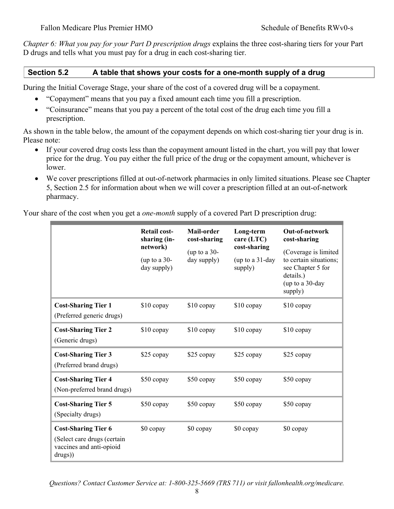*Chapter 6: What you pay for your Part D prescription drugs* explains the three cost-sharing tiers for your Part D drugs and tells what you must pay for a drug in each cost-sharing tier.

#### **Section 5.2 A table that shows your costs for a one-month supply of a drug**

During the Initial Coverage Stage, your share of the cost of a covered drug will be a copayment.

- "Copayment" means that you pay a fixed amount each time you fill a prescription.
- "Coinsurance" means that you pay a percent of the total cost of the drug each time you fill a prescription.

As shown in the table below, the amount of the copayment depends on which cost-sharing tier your drug is in. Please note:

- If your covered drug costs less than the copayment amount listed in the chart, you will pay that lower price for the drug. You pay either the full price of the drug or the copayment amount, whichever is lower.
- We cover prescriptions filled at out-of-network pharmacies in only limited situations. Please see Chapter 5, Section 2.5 for information about when we will cover a prescription filled at an out-of-network pharmacy.

Your share of the cost when you get a *one-month* supply of a covered Part D prescription drug:

|                                                                                                  | <b>Retail cost-</b><br>sharing (in-<br>network)<br>(up to a $30-$<br>day supply) | Mail-order<br>cost-sharing<br>(up to a 30-<br>day supply) | Long-term<br>care $(LTC)$<br>cost-sharing<br>(up to a 31-day<br>supply) | Out-of-network<br>cost-sharing<br>(Coverage is limited<br>to certain situations;<br>see Chapter 5 for<br>details.)<br>(up to a 30-day<br>supply) |
|--------------------------------------------------------------------------------------------------|----------------------------------------------------------------------------------|-----------------------------------------------------------|-------------------------------------------------------------------------|--------------------------------------------------------------------------------------------------------------------------------------------------|
| <b>Cost-Sharing Tier 1</b><br>(Preferred generic drugs)                                          | \$10 copay                                                                       | \$10 copay                                                | \$10 copay                                                              | \$10 copay                                                                                                                                       |
| <b>Cost-Sharing Tier 2</b><br>(Generic drugs)                                                    | $$10$ copay                                                                      | $$10$ copay                                               | $$10$ copay                                                             | $$10$ copay                                                                                                                                      |
| <b>Cost-Sharing Tier 3</b><br>(Preferred brand drugs)                                            | \$25 copay                                                                       | \$25 copay                                                | \$25 copay                                                              | \$25 copay                                                                                                                                       |
| <b>Cost-Sharing Tier 4</b><br>(Non-preferred brand drugs)                                        | \$50 copay                                                                       | \$50 copay                                                | \$50 copay                                                              | \$50 copay                                                                                                                                       |
| <b>Cost-Sharing Tier 5</b><br>(Specialty drugs)                                                  | \$50 copay                                                                       | \$50 copay                                                | \$50 copay                                                              | \$50 copay                                                                                                                                       |
| <b>Cost-Sharing Tier 6</b><br>(Select care drugs (certain<br>vaccines and anti-opioid<br>drugs)) | \$0 copay                                                                        | \$0 copay                                                 | \$0 copay                                                               | \$0 copay                                                                                                                                        |

*Questions? Contact Customer Service at: 1-800-325-5669 (TRS 711) or visit fallonhealth.org/medicare.*